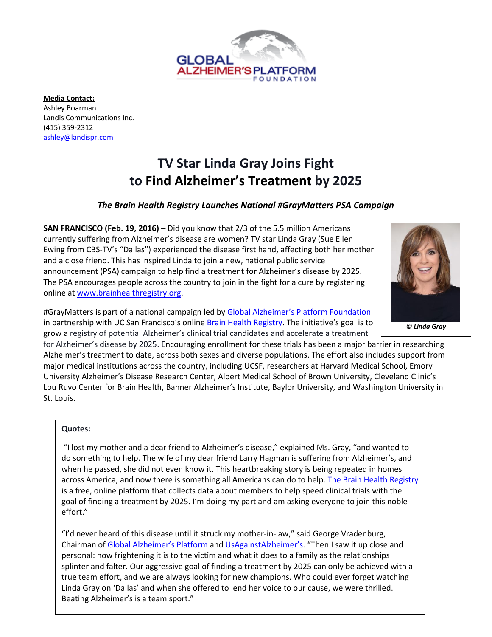

**Media Contact:** Ashley Boarman Landis Communications Inc. (415) 359-2312 [ashley@landispr.com](mailto:ashley@landispr.com) 

# **TV Star Linda Gray Joins Fight to Find Alzheimer's Treatment by 2025**

# *The Brain Health Registry Launches National #GrayMatters PSA Campaign*

**SAN FRANCISCO (Feb. 19, 2016)** – Did you know that 2/3 of the 5.5 million Americans currently suffering from Alzheimer's disease are women? TV star Linda Gray (Sue Ellen Ewing from CBS-TV's "Dallas") experienced the disease first hand, affecting both her mother and a close friend. This has inspired Linda to join a new, national public service announcement (PSA) campaign to help find a treatment for Alzheimer's disease by 2025. The PSA encourages people across the country to join in the fight for a cure by registering online at [www.brainhealthregistry.org.](http://join.brainhealthregistry.org/graymatters/)

#GrayMatters is part of a national campaign led by [Global Alzheimer's Platform](http://globalalzplatform.org/) Foundation in partnership with UC San Francisco's online [Brain Health Registry](http://brainhealthregistry.org/). The initiative's goal is to grow a registry of potential Alzheimer's clinical trial candidates and accelerate a treatment

for Alzheimer's disease by 2025. Encouraging enrollment for these trials has been a major barrier in researching Alzheimer's treatment to date, across both sexes and diverse populations. The effort also includes support from major medical institutions across the country, including UCSF, researchers at Harvard Medical School, Emory University Alzheimer's Disease Research Center, Alpert Medical School of Brown University, Cleveland Clinic's Lou Ruvo Center for Brain Health, Banner Alzheimer's Institute, Baylor University, and Washington University in St. Louis.

#### **Quotes:**

*In a national PSA, Linda Gray encourages people*  do something to help. The wife of my dear friend Larry Hagman is suffering from Alzheimer's, and *to register online to help find a treatment for Alzheimer's disease* when he passed, she did not even know it. This heartbreaking story is being repeated in homes "I lost my mother and a dear friend to Alzheimer's disease," explained Ms. Gray, "and wanted to across America, and now there is something all Americans can do to help[. The Brain Health Registry](http://www.brainhealthregistry.org/) is a free, online platform that collects data about members to help speed clinical trials with the goal of finding a treatment by 2025. I'm doing my part and am asking everyone to join this noble effort."

"I'd never heard of this disease until it struck my mother-in-law," said George Vradenburg, Chairman of [Global Alzheimer's Platform](http://globalalzplatform.org/) and [UsAgainstAlzheimer's.](http://www.usagainstalzheimers.org/) "Then I saw it up close and personal: how frightening it is to the victim and what it does to a family as the relationships splinter and falter. Our aggressive goal of finding a treatment by 2025 can only be achieved with a true team effort, and we are always looking for new champions. Who could ever forget watching Linda Gray on 'Dallas' and when she offered to lend her voice to our cause, we were thrilled. Beating Alzheimer's is a team sport."

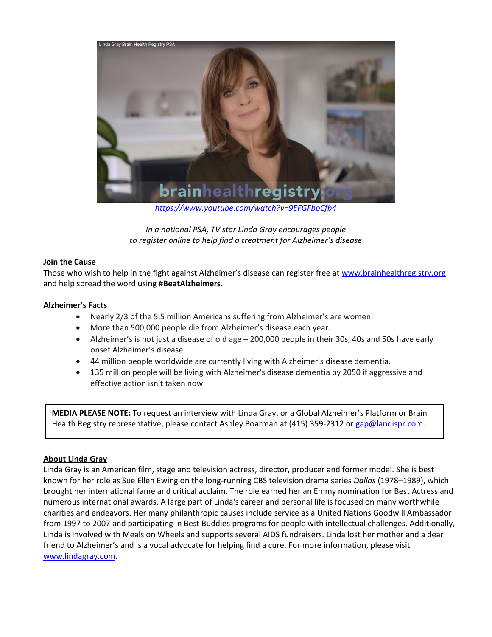

*<https://www.youtube.com/watch?v=9EFGFboCfb4>*

*In a national PSA, TV star Linda Gray encourages people to register online to help find a treatment for Alzheimer's disease*

#### **Join the Cause**

Those who wish to help in the fight against Alzheimer's disease can register free at [www.brainhealthregistry.org](http://join.brainhealthregistry.org/graymatters/) and help spread the word using **#BeatAlzheimers**.

#### **[Alzheimer's Facts](http://globalalzplatform.org/background/)**

- Nearly 2/3 of the 5.5 million Americans suffering from Alzheimer's are women.
- More than 500,000 people die from Alzheimer's disease each year.
- Alzheimer's is not just a disease of old age 200,000 people in their 30s, 40s and 50s have early onset Alzheimer's disease.
- 44 million people worldwide are currently living with Alzheimer's disease dementia.
- 135 million people will be living with Alzheimer's disease dementia by 2050 if aggressive and effective action isn't taken now.

**MEDIA PLEASE NOTE:** To request an interview with Linda Gray, or a Global Alzheimer's Platform or Brain Health Registry representative, please contact Ashley Boarman at (415) 359-2312 or [gap@landispr.com.](mailto:gap@landispr.com)

## **About Linda Gray**

Linda Gray is an American film, stage and television actress, director, producer and former model. She is best known for her role as [Sue Ellen Ewing](https://en.wikipedia.org/wiki/Sue_Ellen_Ewing) on the long-running [CBS](https://en.wikipedia.org/wiki/CBS) television drama series *[Dallas](https://en.wikipedia.org/wiki/Dallas_(1978_TV_series))* (1978–1989), which brought her international fame and critical acclaim. The role earned her an Emmy nomination for Best Actress and numerous international awards. A large part of Linda's career and personal life is focused on many worthwhile charities and endeavors. Her many philanthropic causes include service as a United Nations Goodwill Ambassador from 1997 to 2007 and participating in Best Buddies programs for people with intellectual challenges. Additionally, Linda is involved with Meals on Wheels and supports several AIDS fundraisers. Linda lost her mother and a dear friend to Alzheimer's and is a vocal advocate for helping find a cure. For more information, please visit [www.lindagray.com.](http://www.lindagray.com/)